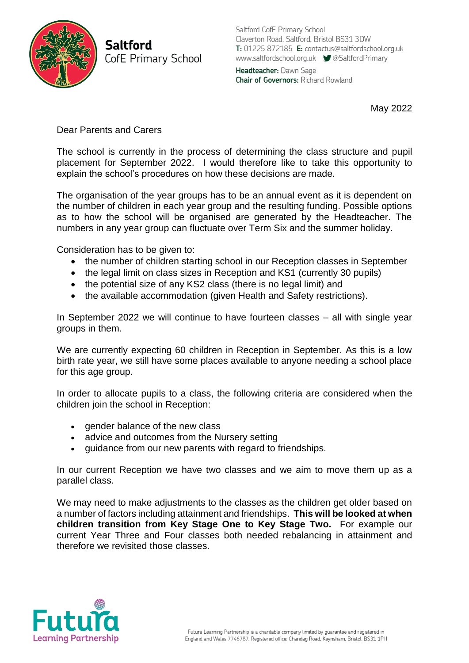

**Saltford** CofE Primary School Saltford CofE Primary School Claverton Road, Saltford, Bristol BS31 3DW T: 01225 872185 E: contactus@saltfordschool.org.uk www.saltfordschool.org.uk CaltfordPrimary Headteacher: Dawn Sage **Chair of Governors: Richard Rowland** 

May 2022

Dear Parents and Carers

The school is currently in the process of determining the class structure and pupil placement for September 2022. I would therefore like to take this opportunity to explain the school's procedures on how these decisions are made.

The organisation of the year groups has to be an annual event as it is dependent on the number of children in each year group and the resulting funding. Possible options as to how the school will be organised are generated by the Headteacher. The numbers in any year group can fluctuate over Term Six and the summer holiday.

Consideration has to be given to:

- the number of children starting school in our Reception classes in September
- the legal limit on class sizes in Reception and KS1 (currently 30 pupils)
- the potential size of any KS2 class (there is no legal limit) and
- the available accommodation (given Health and Safety restrictions).

In September 2022 we will continue to have fourteen classes – all with single year groups in them.

We are currently expecting 60 children in Reception in September. As this is a low birth rate year, we still have some places available to anyone needing a school place for this age group.

In order to allocate pupils to a class, the following criteria are considered when the children join the school in Reception:

- gender balance of the new class
- advice and outcomes from the Nursery setting
- guidance from our new parents with regard to friendships.

In our current Reception we have two classes and we aim to move them up as a parallel class.

We may need to make adjustments to the classes as the children get older based on a number of factors including attainment and friendships. **This will be looked at when children transition from Key Stage One to Key Stage Two.** For example our current Year Three and Four classes both needed rebalancing in attainment and therefore we revisited those classes.

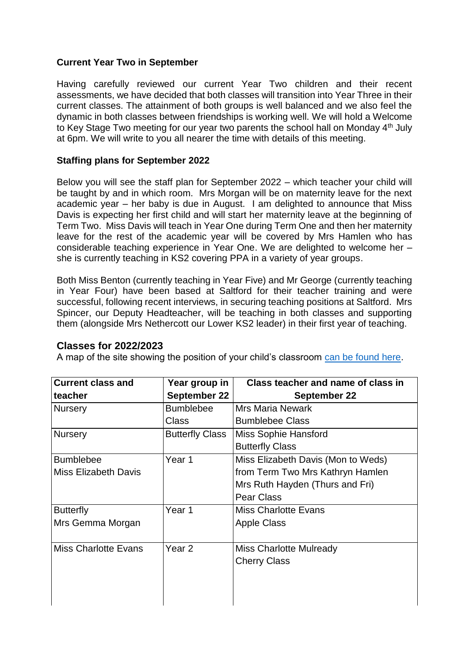## **Current Year Two in September**

Having carefully reviewed our current Year Two children and their recent assessments, we have decided that both classes will transition into Year Three in their current classes. The attainment of both groups is well balanced and we also feel the dynamic in both classes between friendships is working well. We will hold a Welcome to Key Stage Two meeting for our year two parents the school hall on Monday 4th July at 6pm. We will write to you all nearer the time with details of this meeting.

## **Staffing plans for September 2022**

Below you will see the staff plan for September 2022 – which teacher your child will be taught by and in which room. Mrs Morgan will be on maternity leave for the next academic year – her baby is due in August. I am delighted to announce that Miss Davis is expecting her first child and will start her maternity leave at the beginning of Term Two. Miss Davis will teach in Year One during Term One and then her maternity leave for the rest of the academic year will be covered by Mrs Hamlen who has considerable teaching experience in Year One. We are delighted to welcome her – she is currently teaching in KS2 covering PPA in a variety of year groups.

Both Miss Benton (currently teaching in Year Five) and Mr George (currently teaching in Year Four) have been based at Saltford for their teacher training and were successful, following recent interviews, in securing teaching positions at Saltford. Mrs Spincer, our Deputy Headteacher, will be teaching in both classes and supporting them (alongside Mrs Nethercott our Lower KS2 leader) in their first year of teaching.

## **Classes for 2022/2023**

A map of the site showing the position of your child's classroom [can be found here.](https://www.saltfordschool.org.uk/assets/uploads/documents/about%20us/Plan%20of%20Saltford%20School%202022-23.pdf)

| <b>Current class and</b>    | Year group in          | Class teacher and name of class in |
|-----------------------------|------------------------|------------------------------------|
| teacher                     | September 22           | <b>September 22</b>                |
| <b>Nursery</b>              | <b>Bumblebee</b>       | <b>Mrs Maria Newark</b>            |
|                             | Class                  | <b>Bumblebee Class</b>             |
| <b>Nursery</b>              | <b>Butterfly Class</b> | Miss Sophie Hansford               |
|                             |                        | <b>Butterfly Class</b>             |
| <b>Bumblebee</b>            | Year 1                 | Miss Elizabeth Davis (Mon to Weds) |
| <b>Miss Elizabeth Davis</b> |                        | from Term Two Mrs Kathryn Hamlen   |
|                             |                        | Mrs Ruth Hayden (Thurs and Fri)    |
|                             |                        | <b>Pear Class</b>                  |
| <b>Butterfly</b>            | Year 1                 | <b>Miss Charlotte Evans</b>        |
| Mrs Gemma Morgan            |                        | <b>Apple Class</b>                 |
|                             |                        |                                    |
| <b>Miss Charlotte Evans</b> | Year <sub>2</sub>      | <b>Miss Charlotte Mulready</b>     |
|                             |                        | <b>Cherry Class</b>                |
|                             |                        |                                    |
|                             |                        |                                    |
|                             |                        |                                    |